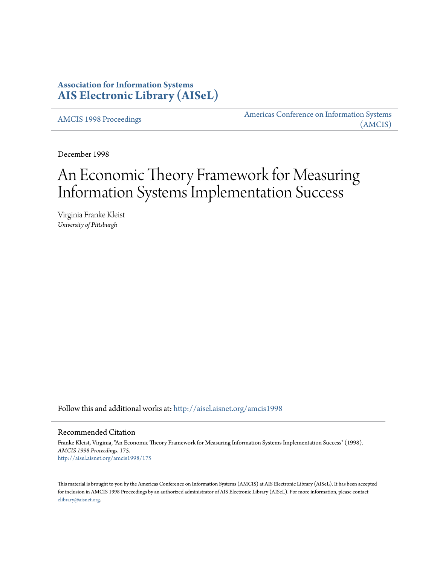## **Association for Information Systems [AIS Electronic Library \(AISeL\)](http://aisel.aisnet.org?utm_source=aisel.aisnet.org%2Famcis1998%2F175&utm_medium=PDF&utm_campaign=PDFCoverPages)**

[AMCIS 1998 Proceedings](http://aisel.aisnet.org/amcis1998?utm_source=aisel.aisnet.org%2Famcis1998%2F175&utm_medium=PDF&utm_campaign=PDFCoverPages)

[Americas Conference on Information Systems](http://aisel.aisnet.org/amcis?utm_source=aisel.aisnet.org%2Famcis1998%2F175&utm_medium=PDF&utm_campaign=PDFCoverPages) [\(AMCIS\)](http://aisel.aisnet.org/amcis?utm_source=aisel.aisnet.org%2Famcis1998%2F175&utm_medium=PDF&utm_campaign=PDFCoverPages)

December 1998

# An Economic Theory Framework for Measuring Information Systems Implementation Success

Virginia Franke Kleist *University of Pittsburgh*

Follow this and additional works at: [http://aisel.aisnet.org/amcis1998](http://aisel.aisnet.org/amcis1998?utm_source=aisel.aisnet.org%2Famcis1998%2F175&utm_medium=PDF&utm_campaign=PDFCoverPages)

#### Recommended Citation

Franke Kleist, Virginia, "An Economic Theory Framework for Measuring Information Systems Implementation Success" (1998). *AMCIS 1998 Proceedings*. 175. [http://aisel.aisnet.org/amcis1998/175](http://aisel.aisnet.org/amcis1998/175?utm_source=aisel.aisnet.org%2Famcis1998%2F175&utm_medium=PDF&utm_campaign=PDFCoverPages)

This material is brought to you by the Americas Conference on Information Systems (AMCIS) at AIS Electronic Library (AISeL). It has been accepted for inclusion in AMCIS 1998 Proceedings by an authorized administrator of AIS Electronic Library (AISeL). For more information, please contact [elibrary@aisnet.org.](mailto:elibrary@aisnet.org%3E)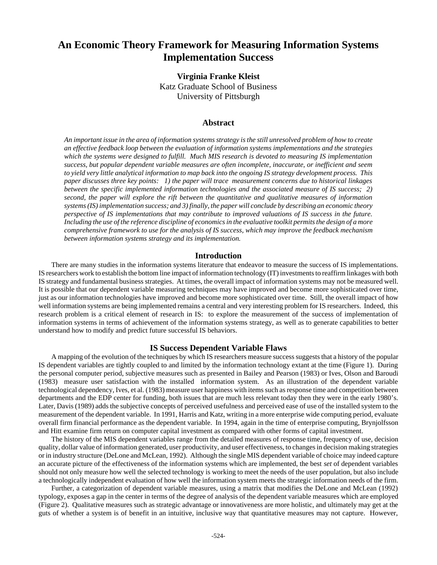# **An Economic Theory Framework for Measuring Information Systems Implementation Success**

**Virginia Franke Kleist** Katz Graduate School of Business University of Pittsburgh

### **Abstract**

*An important issue in the area of information systems strategy is the still unresolved problem of how to create an effective feedback loop between the evaluation of information systems implementations and the strategies which the systems were designed to fulfill. Much MIS research is devoted to measuring IS implementation success, but popular dependent variable measures are often incomplete, inaccurate, or inefficient and seem to yield very little analytical information to map back into the ongoing IS strategy development process. This paper discusses three key points: 1) the paper will trace measurement concerns due to historical linkages between the specific implemented information technologies and the associated measure of IS success; 2) second, the paper will explore the rift between the quantitative and qualitative measures of information systems (IS) implementation success; and 3) finally, the paper will conclude by describing an economic theory perspective of IS implementations that may contribute to improved valuations of IS success in the future. Including the use of the reference discipline of economics in the evaluative toolkit permits the design of a more comprehensive framework to use for the analysis of IS success, which may improve the feedback mechanism between information systems strategy and its implementation.*

#### **Introduction**

There are many studies in the information systems literature that endeavor to measure the success of IS implementations. IS researchers work to establish the bottom line impact of information technology (IT) investments to reaffirm linkages with both IS strategy and fundamental business strategies. At times, the overall impact of information systems may not be measured well. It is possible that our dependent variable measuring techniques may have improved and become more sophisticated over time, just as our information technologies have improved and become more sophisticated over time. Still, the overall impact of how well information systems are being implemented remains a central and very interesting problem for IS researchers. Indeed, this research problem is a critical element of research in IS: to explore the measurement of the success of implementation of information systems in terms of achievement of the information systems strategy, as well as to generate capabilities to better understand how to modify and predict future successful IS behaviors.

#### **IS Success Dependent Variable Flaws**

A mapping of the evolution of the techniques by which IS researchers measure success suggests that a history of the popular IS dependent variables are tightly coupled to and limited by the information technology extant at the time (Figure 1). During the personal computer period, subjective measures such as presented in Bailey and Pearson (1983) or Ives, Olson and Baroudi (1983) measure user satisfaction with the installed information system. As an illustration of the dependent variable technological dependency, Ives, et al. (1983) measure user happiness with items such as response time and competition between departments and the EDP center for funding, both issues that are much less relevant today then they were in the early 1980's. Later, Davis (1989) adds the subjective concepts of perceived usefulness and perceived ease of use of the installed system to the measurement of the dependent variable. In 1991, Harris and Katz, writing in a more enterprise wide computing period, evaluate overall firm financial performance as the dependent variable. In 1994, again in the time of enterprise computing, Brynjolfsson and Hitt examine firm return on computer capital investment as compared with other forms of capital investment.

The history of the MIS dependent variables range from the detailed measures of response time, frequency of use, decision quality, dollar value of information generated, user productivity, and user effectiveness, to changes in decision making strategies or in industry structure (DeLone and McLean, 1992). Although the single MIS dependent variable of choice may indeed capture an accurate picture of the effectiveness of the information systems which are implemented, the best *set* of dependent variables should not only measure how well the selected technology is working to meet the needs of the user population, but also include a technologically independent evaluation of how well the information system meets the strategic information needs of the firm.

Further, a categorization of dependent variable measures, using a matrix that modifies the DeLone and McLean (1992) typology, exposes a gap in the center in terms of the degree of analysis of the dependent variable measures which are employed (Figure 2). Qualitative measures such as strategic advantage or innovativeness are more holistic, and ultimately may get at the guts of whether a system is of benefit in an intuitive, inclusive way that quantitative measures may not capture. However,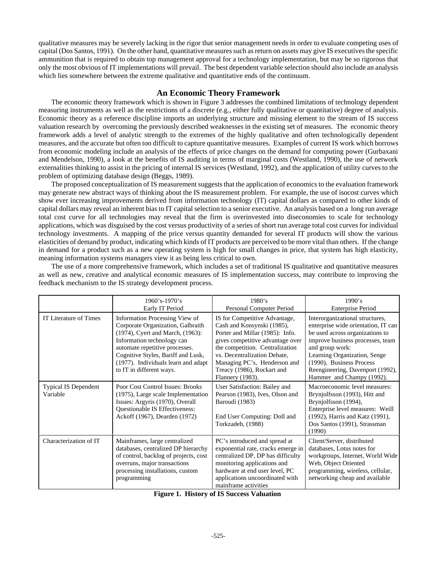qualitative measures may be severely lacking in the rigor that senior management needs in order to evaluate competing uses of capital (Dos Santos, 1991). On the other hand, quantitative measures such as return on assets may give IS executives the specific ammunition that is required to obtain top management approval for a technology implementation, but may be so rigorous that only the most obvious of IT implementations will prevail. The best dependent variable selection should also include an analysis which lies somewhere between the extreme qualitative and quantitative ends of the continuum.

## **An Economic Theory Framework**

The economic theory framework which is shown in Figure 3 addresses the combined limitations of technology dependent measuring instruments as well as the restrictions of a discrete (e.g., either fully qualitative or quantitative) degree of analysis. Economic theory as a reference discipline imports an underlying structure and missing element to the stream of IS success valuation research by overcoming the previously described weaknesses in the existing set of measures. The economic theory framework adds a level of analytic strength to the extremes of the highly qualitative and often technologically dependent measures, and the accurate but often too difficult to capture quantitative measures. Examples of current IS work which borrows from economic modeling include an analysis of the effects of price changes on the demand for computing power (Gurbaxani and Mendelson, 1990), a look at the benefits of IS auditing in terms of marginal costs (Westland, 1990), the use of network externalities thinking to assist in the pricing of internal IS services (Westland, 1992), and the application of utility curves to the problem of optimizing database design (Beggs, 1989).

The proposed conceptualization of IS measurement suggests that the application of economics to the evaluation framework may generate new abstract ways of thinking about the IS measurement problem. For example, the use of isocost curves which show ever increasing improvements derived from information technology (IT) capital dollars as compared to other kinds of capital dollars may reveal an inherent bias to IT capital selection to a senior executive. An analysis based on a long run average total cost curve for all technologies may reveal that the firm is overinvested into diseconomies to scale for technology applications, which was disguised by the cost versus productivity of a series of short run average total cost curves for individual technology investments. A mapping of the price versus quantity demanded for several IT products will show the various elasticities of demand by product, indicating which kinds of IT products are perceived to be more vital than others. If the change in demand for a product such as a new operating system is high for small changes in price, that system has high elasticity, meaning information systems managers view it as being less critical to own.

The use of a more comprehensive framework, which includes a set of traditional IS qualitative and quantitative measures as well as new, creative and analytical economic measures of IS implementation success, may contribute to improving the feedback mechanism to the IS strategy development process.

|                                         | $1960's - 1970's$<br>Early IT Period                                                                                                                                                                                                                                             | 1980's<br>Personal Computer Period                                                                                                                                                                                                                                                      | 1990's<br><b>Enterprise Period</b>                                                                                                                                                                                                                                                            |
|-----------------------------------------|----------------------------------------------------------------------------------------------------------------------------------------------------------------------------------------------------------------------------------------------------------------------------------|-----------------------------------------------------------------------------------------------------------------------------------------------------------------------------------------------------------------------------------------------------------------------------------------|-----------------------------------------------------------------------------------------------------------------------------------------------------------------------------------------------------------------------------------------------------------------------------------------------|
| IT Literature of Times                  | Information Processing View of<br>Corporate Organization, Galbraith<br>(1974), Cyert and March, (1963):<br>Information technology can<br>automate repetitive processes.<br>Cognitive Styles, Bariff and Lusk,<br>(1977). Individuals learn and adapt<br>to IT in different ways. | IS for Competitive Advantage,<br>Cash and Konsynski (1985),<br>Porter and Millar (1985): Info.<br>gives competitive advantage over<br>the competition. Centralization<br>vs. Decentralization Debate,<br>Managing PC's, Henderson and<br>Treacy (1986), Rockart and<br>Flannery (1983). | Interorganizational structures,<br>enterprise wide orientation, IT can<br>be used across organizations to<br>improve business processes, team<br>and group work:<br>Learning Organization, Senge<br>(1990), Business Process<br>Reengineering, Davenport (1992),<br>Hammer and Champy (1992). |
| <b>Typical IS Dependent</b><br>Variable | Poor Cost Control Issues: Brooks<br>(1975), Large scale Implementation<br>Issues: Argyris (1970), Overall<br>Questionable IS Effectiveness:<br>Ackoff (1967), Dearden (1972)                                                                                                     | User Satisfaction: Bailey and<br>Pearson (1983), Ives, Olson and<br>Baroudi (1983)<br>End User Computing: Doll and<br>Torkzadeh, (1988)                                                                                                                                                 | Macroeconomic level measures:<br>Brynjolfsson (1993), Hitt and<br>Brynjolfsson (1994),<br>Enterprise level measures: Weill<br>(1992), Harris and Katz (1991),<br>Dos Santos (1991), Strassman<br>(1990)                                                                                       |
| Characterization of IT                  | Mainframes, large centralized<br>databases, centralized DP hierarchy<br>of control, backlog of projects, cost<br>overruns, major transactions<br>processing installations, custom<br>programming                                                                                 | PC's introduced and spread at<br>exponential rate, cracks emerge in<br>centralized DP, DP has difficulty<br>monitoring applications and<br>hardware at end user level, PC<br>applications uncoordinated with<br>mainframe activities                                                    | Client/Server, distributed<br>databases, Lotus notes for<br>workgroups, Internet, World Wide<br>Web, Object Oriented<br>programming, wireless, cellular,<br>networking cheap and available                                                                                                    |

|  | <b>Figure 1. History of IS Success Valuation</b> |  |
|--|--------------------------------------------------|--|
|  |                                                  |  |